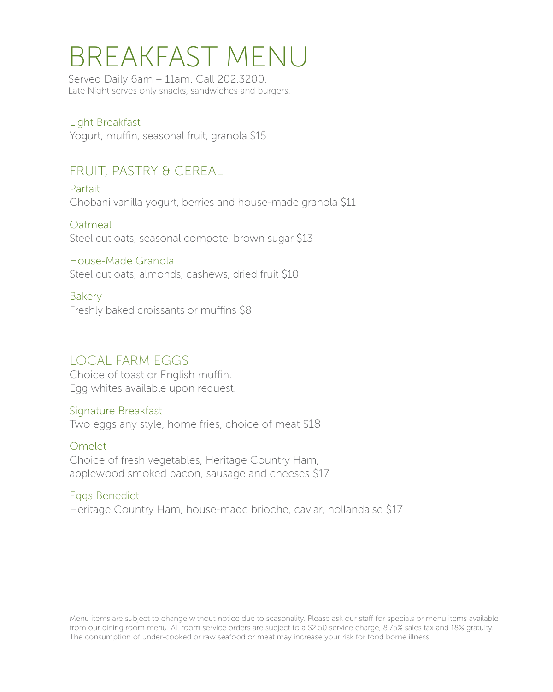## BREAKFAST MENU

Served Daily 6am – 11am. Call 202.3200. Late Night serves only snacks, sandwiches and burgers.

Light Breakfast Yogurt, muffin, seasonal fruit, granola \$15

## FRUIT, PASTRY & CEREAL

Parfait Chobani vanilla yogurt, berries and house-made granola \$11

**Oatmeal** Steel cut oats, seasonal compote, brown sugar \$13

House-Made Granola Steel cut oats, almonds, cashews, dried fruit \$10

Bakery Freshly baked croissants or muffins \$8

### LOCAL FARM EGGS

Choice of toast or English muffin. Egg whites available upon request.

Signature Breakfast Two eggs any style, home fries, choice of meat \$18

Omelet Choice of fresh vegetables, Heritage Country Ham, applewood smoked bacon, sausage and cheeses \$17

Eggs Benedict Heritage Country Ham, house-made brioche, caviar, hollandaise \$17

Menu items are subject to change without notice due to seasonality. Please ask our staff for specials or menu items available from our dining room menu. All room service orders are subject to a \$2.50 service charge, 8.75% sales tax and 18% gratuity. The consumption of under-cooked or raw seafood or meat may increase your risk for food borne illness.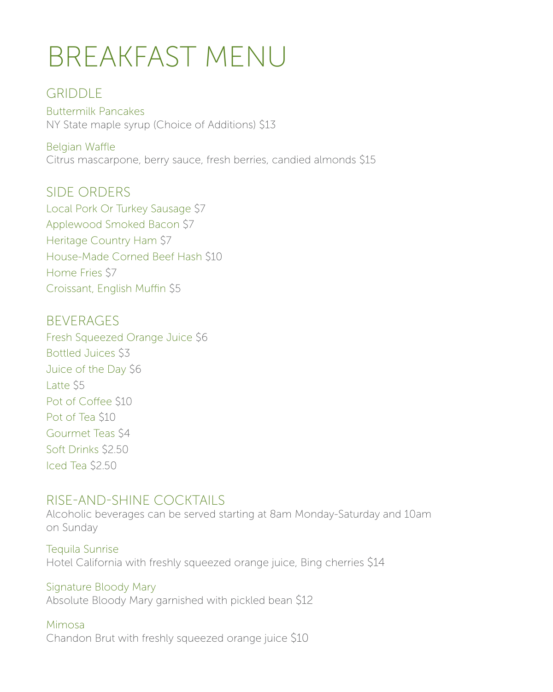# BREAKFAST MENU

## GRIDDLE

Buttermilk Pancakes NY State maple syrup (Choice of Additions) \$13

Belgian Waffle Citrus mascarpone, berry sauce, fresh berries, candied almonds \$15

SIDE ORDERS Local Pork Or Turkey Sausage \$7 Applewood Smoked Bacon \$7 Heritage Country Ham \$7 House-Made Corned Beef Hash \$10 Home Fries \$7 Croissant, English Muffin \$5

**BEVERAGES** Fresh Squeezed Orange Juice \$6 Bottled Juices \$3 Juice of the Day \$6 Latte \$5 Pot of Coffee \$10 Pot of Tea \$10 Gourmet Teas \$4 Soft Drinks \$2.50 Iced Tea \$2.50

### RISE-AND-SHINE COCKTAILS

Alcoholic beverages can be served starting at 8am Monday-Saturday and 10am on Sunday

Tequila Sunrise Hotel California with freshly squeezed orange juice, Bing cherries \$14

Signature Bloody Mary Absolute Bloody Mary garnished with pickled bean \$12

### Mimosa

Chandon Brut with freshly squeezed orange juice \$10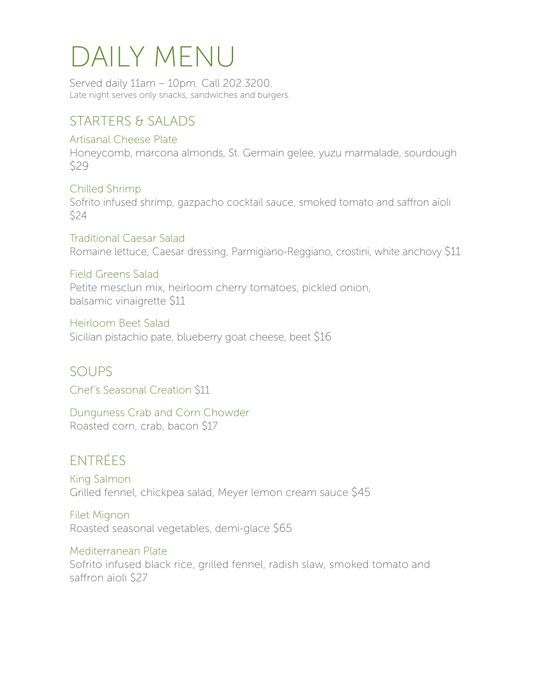# DAILY MENU

Served daily 11am – 10pm. Call 202.3200. Late night serves only snacks, sandwiches and burgers.

## STARTERS & SALADS

#### Artisanal Cheese Plate

Honeycomb, marcona almonds, St. Germain gelee, yuzu marmalade, sourdough \$29

Chilled Shrimp Sofrito infused shrimp, gazpacho cocktail sauce, smoked tomato and saffron aïoli \$24

Traditional Caesar Salad Romaine lettuce, Caesar dressing, Parmigiano-Reggiano, crostini, white anchovy \$11

#### Field Greens Salad

Petite mesclun mix, heirloom cherry tomatoes, pickled onion, balsamic vinaigrette \$11

Heirloom Beet Salad Sicilian pistachio pate, blueberry goat cheese, beet \$16

SOUPS Chef's Seasonal Creation \$11

Dunguness Crab and Corn Chowder Roasted corn, crab, bacon \$17

## ENTRÉES

King Salmon Grilled fennel, chickpea salad, Meyer lemon cream sauce \$45

Filet Mignon Roasted seasonal vegetables, demi-glace \$65

### Mediterranean Plate

Sofrito infused black rice, grilled fennel, radish slaw, smoked tomato and saffron aïoli \$27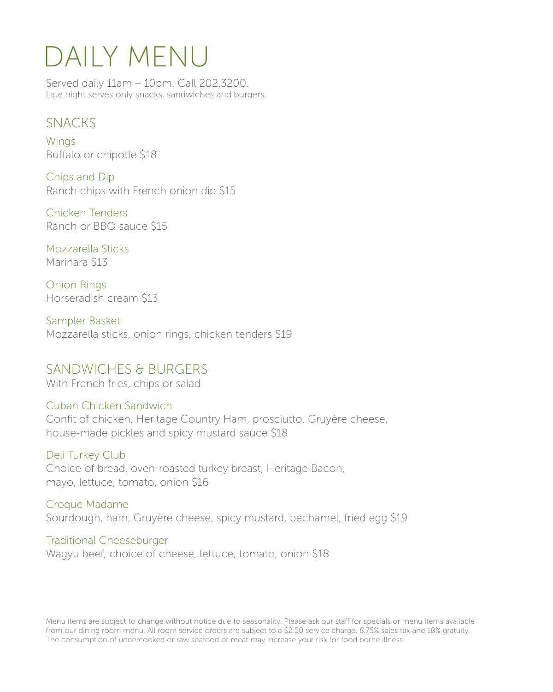# DAILY MENU

Served daily 11am – 10pm. Call 202.3200. Late night serves only snacks, sandwiches and burgers.

### SNACKS

**Wings** Buffalo or chipotle \$18

Chips and Dip Ranch chips with French onion dip \$15

Chicken Tenders Ranch or BBQ sauce \$15

Mozzarella Sticks Marinara \$13

Onion Rings Horseradish cream \$13

Sampler Basket Mozzarella sticks, onion rings, chicken tenders \$19

### SANDWICHES & BURGERS

With French fries, chips or salad

### Cuban Chicken Sandwich

Confit of chicken, Heritage Country Ham, prosciutto, Gruyère cheese, house-made pickles and spicy mustard sauce \$18

#### Deli Turkey Club

Choice of bread, oven-roasted turkey breast, Heritage Bacon, mayo, lettuce, tomato, onion \$16

Croque Madame Sourdough, ham, Gruyère cheese, spicy mustard, bechamel, fried egg \$19

Traditional Cheeseburger Wagyu beef, choice of cheese, lettuce, tomato, onion \$18

Menu items are subject to change without notice due to seasonality. Please ask our staff for specials or menu items available from our dining room menu. All room service orders are subject to a \$2.50 service charge, 8.75% sales tax and 18% gratuity. The consumption of undercooked or raw seafood or meat may increase your risk for food borne illness.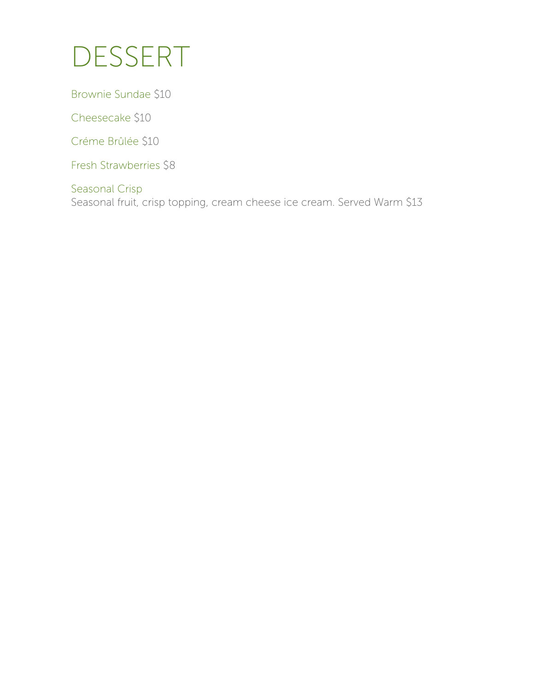## DESSERT

Brownie Sundae \$10

Cheesecake \$10

Créme Brûlée \$10

Fresh Strawberries \$8

Seasonal Crisp Seasonal fruit, crisp topping, cream cheese ice cream. Served Warm \$13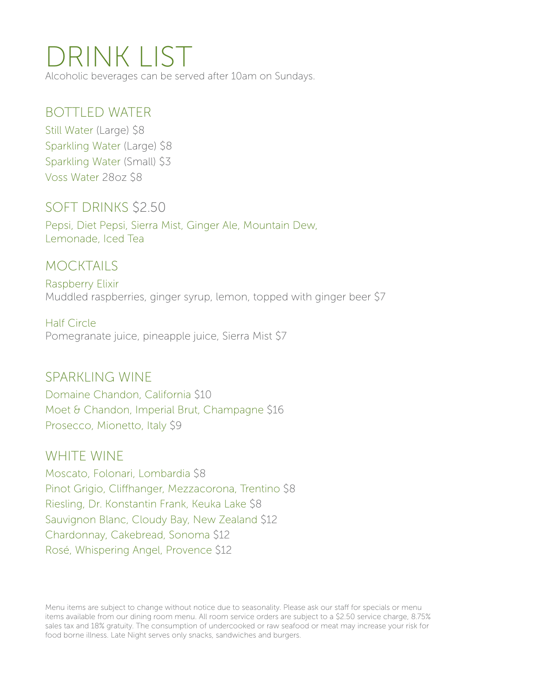## DRINK LIST

Alcoholic beverages can be served after 10am on Sundays.

### BOTTLED WATER

Still Water (Large) \$8 Sparkling Water (Large) \$8 Sparkling Water (Small) \$3 Voss Water 28oz \$8

## SOFT DRINKS \$2.50

Pepsi, Diet Pepsi, Sierra Mist, Ginger Ale, Mountain Dew, Lemonade, Iced Tea

## MOCKTAILS

Raspberry Elixir Muddled raspberries, ginger syrup, lemon, topped with ginger beer \$7

Half Circle Pomegranate juice, pineapple juice, Sierra Mist \$7

### SPARKLING WINE

Domaine Chandon, California \$10 Moet & Chandon, Imperial Brut, Champagne \$16 Prosecco, Mionetto, Italy \$9

### WHITE WINE

Moscato, Folonari, Lombardia \$8 Pinot Grigio, Cliffhanger, Mezzacorona, Trentino \$8 Riesling, Dr. Konstantin Frank, Keuka Lake \$8 Sauvignon Blanc, Cloudy Bay, New Zealand \$12 Chardonnay, Cakebread, Sonoma \$12 Rosé, Whispering Angel, Provence \$12

Menu items are subject to change without notice due to seasonality. Please ask our staff for specials or menu items available from our dining room menu. All room service orders are subject to a \$2.50 service charge, 8.75% sales tax and 18% gratuity. The consumption of undercooked or raw seafood or meat may increase your risk for food borne illness. Late Night serves only snacks, sandwiches and burgers.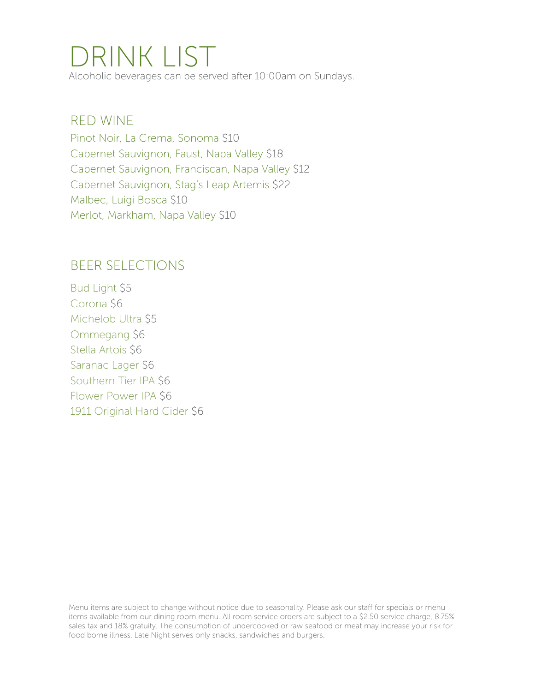## DRINK LIST

Alcoholic beverages can be served after 10:00am on Sundays.

### RED WINE

Pinot Noir, La Crema, Sonoma \$10 Cabernet Sauvignon, Faust, Napa Valley \$18 Cabernet Sauvignon, Franciscan, Napa Valley \$12 Cabernet Sauvignon, Stag's Leap Artemis \$22 Malbec, Luigi Bosca \$10 Merlot, Markham, Napa Valley \$10

### BEER SELECTIONS

Bud Light \$5 Corona \$6 Michelob Ultra \$5 Ommegang \$6 Stella Artois \$6 Saranac Lager \$6 Southern Tier IPA \$6 Flower Power IPA \$6 1911 Original Hard Cider \$6

Menu items are subject to change without notice due to seasonality. Please ask our staff for specials or menu items available from our dining room menu. All room service orders are subject to a \$2.50 service charge, 8.75% sales tax and 18% gratuity. The consumption of undercooked or raw seafood or meat may increase your risk for food borne illness. Late Night serves only snacks, sandwiches and burgers.